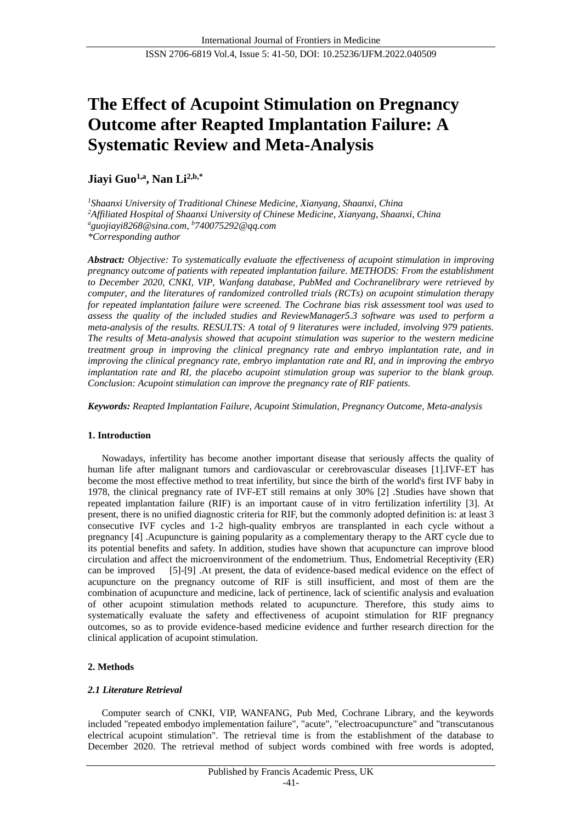# **The Effect of Acupoint Stimulation on Pregnancy Outcome after Reapted Implantation Failure: A Systematic Review and Meta-Analysis**

**Jiayi Guo1,a , Nan Li2,b,\***

*<sup>1</sup>Shaanxi University of Traditional Chinese Medicine, Xianyang, Shaanxi, China <sup>2</sup>Affiliated Hospital of Shaanxi University of Chinese Medicine, Xianyang, Shaanxi, China <sup>a</sup>guojiayi8268@sina.com, <sup>b</sup>740075292@qq.com \*Corresponding author*

*Abstract: Objective: To systematically evaluate the effectiveness of acupoint stimulation in improving pregnancy outcome of patients with repeated implantation failure. METHODS: From the establishment to December 2020, CNKI, VIP, Wanfang database, PubMed and Cochranelibrary were retrieved by computer, and the literatures of randomized controlled trials (RCTs) on acupoint stimulation therapy for repeated implantation failure were screened. The Cochrane bias risk assessment tool was used to assess the quality of the included studies and ReviewManager5.3 software was used to perform a meta-analysis of the results. RESULTS: A total of 9 literatures were included, involving 979 patients. The results of Meta-analysis showed that acupoint stimulation was superior to the western medicine treatment group in improving the clinical pregnancy rate and embryo implantation rate, and in improving the clinical pregnancy rate, embryo implantation rate and RI, and in improving the embryo implantation rate and RI, the placebo acupoint stimulation group was superior to the blank group. Conclusion: Acupoint stimulation can improve the pregnancy rate of RIF patients.*

*Keywords: Reapted Implantation Failure, Acupoint Stimulation, Pregnancy Outcome, Meta-analysis*

# **1. Introduction**

Nowadays, infertility has become another important disease that seriously affects the quality of human life after malignant tumors and cardiovascular or cerebrovascular diseases [1].IVF-ET has become the most effective method to treat infertility, but since the birth of the world's first IVF baby in 1978, the clinical pregnancy rate of IVF-ET still remains at only 30% [2] .Studies have shown that repeated implantation failure (RIF) is an important cause of in vitro fertilization infertility [3]. At present, there is no unified diagnostic criteria for RIF, but the commonly adopted definition is: at least 3 consecutive IVF cycles and 1-2 high-quality embryos are transplanted in each cycle without a pregnancy [4] .Acupuncture is gaining popularity as a complementary therapy to the ART cycle due to its potential benefits and safety. In addition, studies have shown that acupuncture can improve blood circulation and affect the microenvironment of the endometrium. Thus, Endometrial Receptivity (ER) can be improved [5]-[9] .At present, the data of evidence-based medical evidence on the effect of acupuncture on the pregnancy outcome of RIF is still insufficient, and most of them are the combination of acupuncture and medicine, lack of pertinence, lack of scientific analysis and evaluation of other acupoint stimulation methods related to acupuncture. Therefore, this study aims to systematically evaluate the safety and effectiveness of acupoint stimulation for RIF pregnancy outcomes, so as to provide evidence-based medicine evidence and further research direction for the clinical application of acupoint stimulation.

# **2. Methods**

# *2.1 Literature Retrieval*

Computer search of CNKI, VIP, WANFANG, Pub Med, Cochrane Library, and the keywords included "repeated embodyo implementation failure", "acute", "electroacupuncture" and "transcutanous electrical acupoint stimulation". The retrieval time is from the establishment of the database to December 2020. The retrieval method of subject words combined with free words is adopted,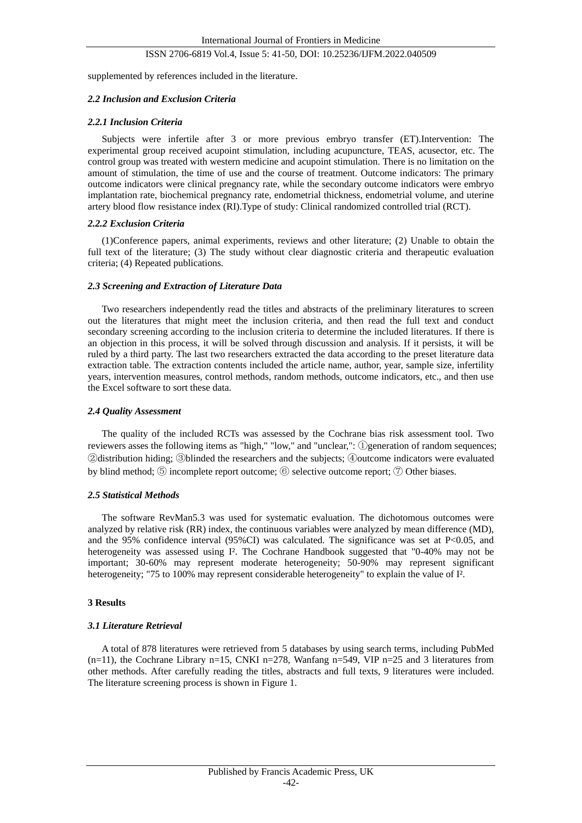supplemented by references included in the literature.

# *2.2 Inclusion and Exclusion Criteria*

# *2.2.1 Inclusion Criteria*

Subjects were infertile after 3 or more previous embryo transfer (ET).Intervention: The experimental group received acupoint stimulation, including acupuncture, TEAS, acusector, etc. The control group was treated with western medicine and acupoint stimulation. There is no limitation on the amount of stimulation, the time of use and the course of treatment. Outcome indicators: The primary outcome indicators were clinical pregnancy rate, while the secondary outcome indicators were embryo implantation rate, biochemical pregnancy rate, endometrial thickness, endometrial volume, and uterine artery blood flow resistance index (RI).Type of study: Clinical randomized controlled trial (RCT).

## *2.2.2 Exclusion Criteria*

(1)Conference papers, animal experiments, reviews and other literature; (2) Unable to obtain the full text of the literature; (3) The study without clear diagnostic criteria and therapeutic evaluation criteria; (4) Repeated publications.

## *2.3 Screening and Extraction of Literature Data*

Two researchers independently read the titles and abstracts of the preliminary literatures to screen out the literatures that might meet the inclusion criteria, and then read the full text and conduct secondary screening according to the inclusion criteria to determine the included literatures. If there is an objection in this process, it will be solved through discussion and analysis. If it persists, it will be ruled by a third party. The last two researchers extracted the data according to the preset literature data extraction table. The extraction contents included the article name, author, year, sample size, infertility years, intervention measures, control methods, random methods, outcome indicators, etc., and then use the Excel software to sort these data.

# *2.4 Quality Assessment*

The quality of the included RCTs was assessed by the Cochrane bias risk assessment tool. Two reviewers asses the following items as "high," "low," and "unclear,": ①generation of random sequences; ②distribution hiding; ③blinded the researchers and the subjects; ④outcome indicators were evaluated by blind method; ⑤ incomplete report outcome; ⑥ selective outcome report; ⑦ Other biases.

## *2.5 Statistical Methods*

The software RevMan5.3 was used for systematic evaluation. The dichotomous outcomes were analyzed by relative risk (RR) index, the continuous variables were analyzed by mean difference (MD), and the 95% confidence interval  $(95\% \text{ CI})$  was calculated. The significance was set at P<0.05, and heterogeneity was assessed using I? The Cochrane Handbook suggested that "0-40% may not be important; 30-60% may represent moderate heterogeneity; 50-90% may represent significant heterogeneity; "75 to 100% may represent considerable heterogeneity" to explain the value of I².

# **3 Results**

# *3.1 Literature Retrieval*

A total of 878 literatures were retrieved from 5 databases by using search terms, including PubMed  $(n=11)$ , the Cochrane Library n=15, CNKI n=278, Wanfang n=549, VIP n=25 and 3 literatures from other methods. After carefully reading the titles, abstracts and full texts, 9 literatures were included. The literature screening process is shown in Figure 1.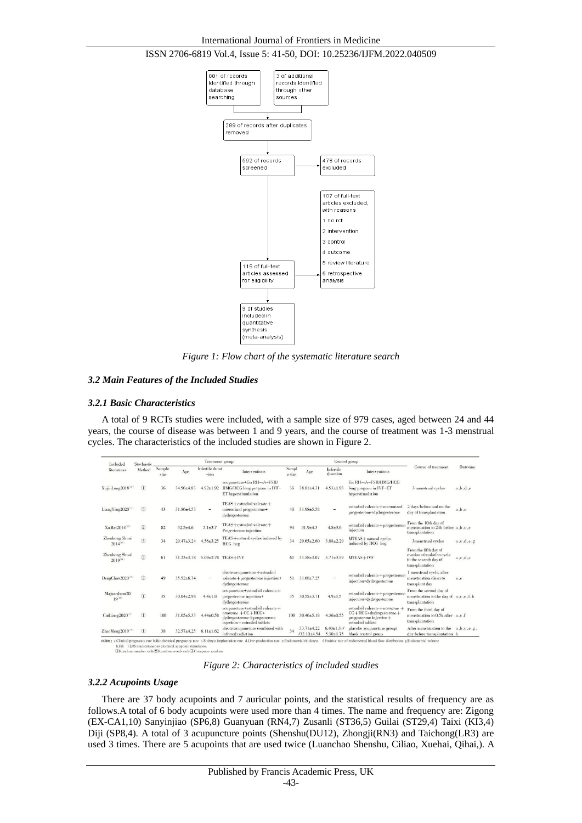

*Figure 1: Flow chart of the systematic literature search*

# *3.2 Main Features of the Included Studies*

## *3.2.1 Basic Characteristics*

A total of 9 RCTs studies were included, with a sample size of 979 cases, aged between 24 and 44 years, the course of disease was between 1 and 9 years, and the course of treatment was 1-3 menstrual cycles. The characteristics of the included studies are shown in Figure 2.

| Included<br>literatures        | Stochastic<br>Method        | Treatment group |                  |                           |                                                                                                                              |                |                                   | Control group                      |                                                                                                               |                                                                                                |               |
|--------------------------------|-----------------------------|-----------------|------------------|---------------------------|------------------------------------------------------------------------------------------------------------------------------|----------------|-----------------------------------|------------------------------------|---------------------------------------------------------------------------------------------------------------|------------------------------------------------------------------------------------------------|---------------|
|                                |                             | Sample<br>size  | Age              | Infertile durat<br>$-ion$ | Interventions                                                                                                                | Sampl<br>esize | Age                               | Infertile<br>duration              | Interventions                                                                                                 | Course of treatment                                                                            | Outcome       |
| XujinLong2018 <sup>18</sup>    | $^\mathrm{\textregistered}$ | 36              | $34.56 + 4.83$   | $4.92 \pm 1.92$           | acupuncture+Gn RH-a/r-FSH/<br>HMG/HCG long program in IVF-<br>ET hyperstimulation                                            | 36             | $38.81 + 4.31$                    | $4.53 \pm 1.93$                    | Gn RH-a/r-FSH/HMG/HCG<br>long program in IVF-ET<br>hyperstimulation                                           | 3 menstrual eveles                                                                             | a, b, d, e    |
| LiangYing2020 <sup>11</sup>    | (3)                         | 43              | $31.86{\pm}4.53$ |                           | $TEAS + estradiol valuerate +$<br>micronized progesterone+<br>dydrogesterone                                                 | 40             | $31.98 \pm 5.58$                  |                                    | estradiol valerate + micronized<br>progesterone+dydrogesterone                                                | 2 days before and on the<br>day of transplantation                                             | a, b, e       |
| XuMei2014[12]                  | (2)                         | 82              | $32.5 \pm 4.6$   | $5.1 \pm 3.7$             | $TEAS + estradiol valuerate +$<br>Progesterone injection                                                                     | 94             | $31.9 \pm 4.3$                    | $4.8{\pm}3.6$                      | estradiol valerate + progesterone<br>injection                                                                | From the 10th day of<br>menstruation to 24h before a, b, c, e<br>transplantation               |               |
| Zhenhong Shuai<br>$2014^{(1)}$ | $\circled{3}$               | 34              | $29.47 \pm 3.24$ | $4.56 \pm 3.25$           | TEAS+natural eveles induced by<br>HCG heg                                                                                    | 34             | $29.65 \pm 2.60$                  | $3.88 \pm 2.29$                    | MTEAS+natural eveles<br>induced by HCG heg                                                                    | 3menstrual cycles                                                                              | a, c, d, e, g |
| Zhenhong Shuai<br>$2019^{14}$  | (3)                         | 61              | $31.23 \pm 3.78$ |                           | $5.09 \pm 2.78$ TEAS+IVF                                                                                                     | 61             | $31.58 \pm 3.07$                  | $5.71 \pm 3.59$                    | MTEAS+IVF                                                                                                     | From the fifth day of<br>ovarian stimulation evele<br>to the seventh day of<br>transplantation | a, c, d, e    |
| DengChao2020 <sup>15</sup>     | $\circled{2}$               | 49              | $35.52 + 6.74$   |                           | $electroacupuncture + estradiol$<br>valerate + progesterone injection+<br>dydrogesterone                                     | 51             | $31.68 \pm 7.25$                  |                                    | estradiol valerate + progesterone<br>injection+dydrogesterone                                                 | I menstrual cycle, after<br>menstmation clean to<br>transplant day                             | a.e.          |
| MajuanJuan20<br>$19^{[16]}$    | $\Omega$                    | 35              | $30.04 \pm 2.98$ | $4.4 \pm 1.8$             | acupuncture+estradiol valerate+<br>progesterone injection+<br>dydrogesterone                                                 | 35             | $30.55 \pm 3.71$                  | $4.9 \pm 1.5$                      | estradiol valerate + progesterone<br>injection+dydrogesterone                                                 | From the second day of<br>menstruation to the day of a,c,e,f,h<br>transplantation              |               |
| CaiLiang2020 <sup>171</sup>    | $\mathcal{D}$               | 108             | $31.05 \pm 5.33$ | $4.44 \pm 0.58$           | acupuncture+estradiol valerate+<br>$nonexone + CC + HCG +$<br>$dydrogesterone + progesterone$<br>injection+estradiol tablets | 108            | $30.46 \pm 5.18$                  | $4.36 \pm 0.55$                    | estradiol valerate+noroxone+<br>$CC + HCG + dydrogesterone +$<br>progesterone injection+<br>estradiol tablets | From the third day of<br>menstruation to 0.5h after a.c.f.<br>transplantation                  |               |
| ZhaoMeng2019[18]               | $\mathbb{O}$                | 38              | $32.57 \pm 4.25$ | $6.11 \pm 1.62$           | electroacupuncture combined with<br>infrared radiation                                                                       | 34             | $33.71 \pm 4.22$<br>$/32.10+4.54$ | $6.40 \pm 1.31$<br>$5.30 \pm 1.75$ | placebo acupuncture group/<br>blank control group                                                             | After menstruation to the $a, b, c, e, g$ ,<br>day before transplantation h                    |               |

h.RI IEAS:transcutaneous electrical acupoint stimulation<br>①Random number table②Random words only③Compu

*Figure 2: Characteristics of included studies*

## *3.2.2 Acupoints Usage*

There are 37 body acupoints and 7 auricular points, and the statistical results of frequency are as follows.A total of 6 body acupoints were used more than 4 times. The name and frequency are: Zigong (EX-CA1,10) Sanyinjiao (SP6,8) Guanyuan (RN4,7) Zusanli (ST36,5) Guilai (ST29,4) Taixi (KI3,4) Diji (SP8,4). A total of 3 acupuncture points (Shenshu(DU12), Zhongji(RN3) and Taichong(LR3) are used 3 times. There are 5 acupoints that are used twice (Luanchao Shenshu, Ciliao, Xuehai, Qihai,). A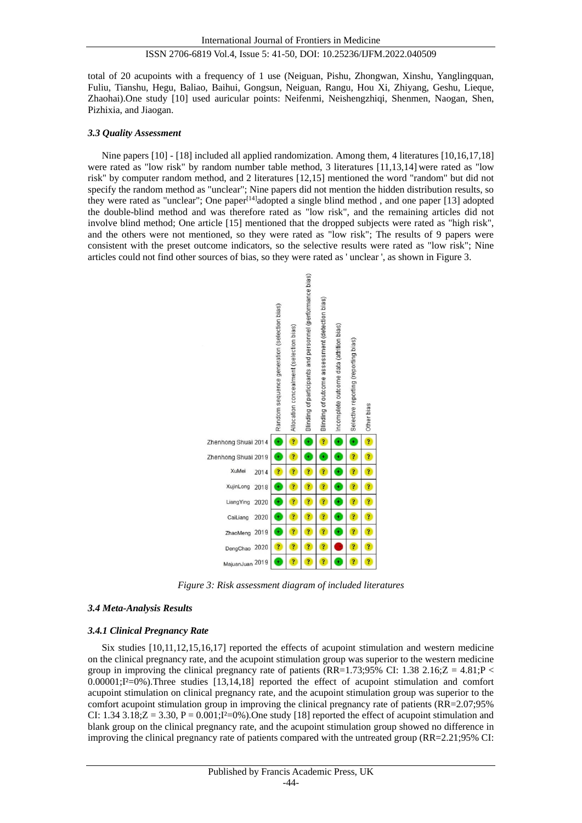total of 20 acupoints with a frequency of 1 use (Neiguan, Pishu, Zhongwan, Xinshu, Yanglingquan, Fuliu, Tianshu, Hegu, Baliao, Baihui, Gongsun, Neiguan, Rangu, Hou Xi, Zhiyang, Geshu, Lieque, Zhaohai).One study [10] used auricular points: Neifenmi, Neishengzhiqi, Shenmen, Naogan, Shen, Pizhixia, and Jiaogan.

## *3.3 Quality Assessment*

Nine papers [10] - [18] included all applied randomization. Among them, 4 literatures [10,16,17,18] were rated as "low risk" by random number table method, 3 literatures [11,13,14] were rated as "low risk" by computer random method, and 2 literatures [12,15] mentioned the word "random" but did not specify the random method as "unclear"; Nine papers did not mention the hidden distribution results, so they were rated as "unclear"; One paper[14]adopted a single blind method , and one paper [13] adopted the double-blind method and was therefore rated as "low risk", and the remaining articles did not involve blind method; One article [15] mentioned that the dropped subjects were rated as "high risk", and the others were not mentioned, so they were rated as "low risk"; The results of 9 papers were consistent with the preset outcome indicators, so the selective results were rated as "low risk"; Nine articles could not find other sources of bias, so they were rated as ' unclear ', as shown in Figure 3.



*Figure 3: Risk assessment diagram of included literatures*

# *3.4 Meta-Analysis Results*

## *3.4.1 Clinical Pregnancy Rate*

Six studies [10,11,12,15,16,17] reported the effects of acupoint stimulation and western medicine on the clinical pregnancy rate, and the acupoint stimulation group was superior to the western medicine group in improving the clinical pregnancy rate of patients (RR=1.73;95% CI: 1.38 2.16; $Z = 4.81;P <$  $0.00001;I \cong 0\%$ ).Three studies [13,14,18] reported the effect of acupoint stimulation and comfort acupoint stimulation on clinical pregnancy rate, and the acupoint stimulation group was superior to the comfort acupoint stimulation group in improving the clinical pregnancy rate of patients (RR=2.07;95% CI: 1.34 3.18; $Z = 3.30$ ,  $P = 0.001$ ; $I \le 0\%$ ). One study [18] reported the effect of acupoint stimulation and blank group on the clinical pregnancy rate, and the acupoint stimulation group showed no difference in improving the clinical pregnancy rate of patients compared with the untreated group (RR=2.21;95% CI: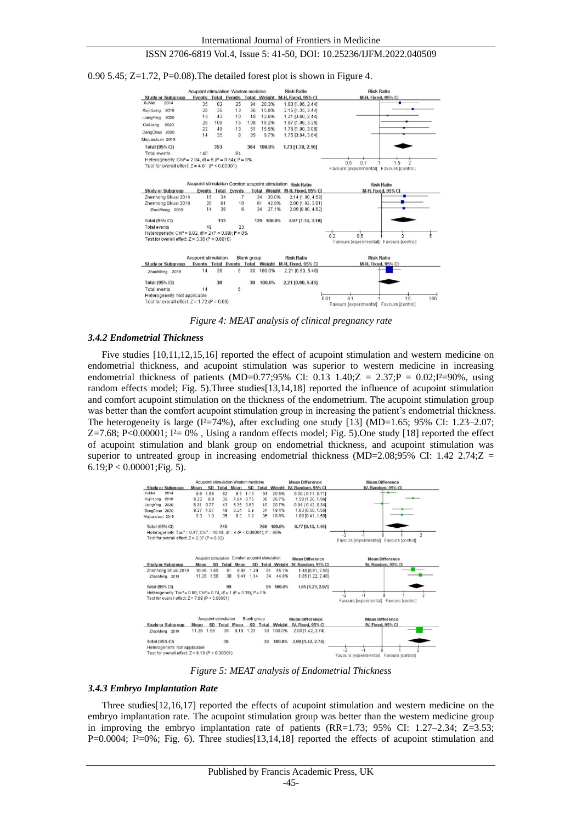



*Figure 4: MEAT analysis of clinical pregnancy rate*

## *3.4.2 Endometrial Thickness*

Five studies [10,11,12,15,16] reported the effect of acupoint stimulation and western medicine on endometrial thickness, and acupoint stimulation was superior to western medicine in increasing endometrial thickness of patients (MD=0.77;95% CI: 0.13 1.40; $Z = 2.37; P = 0.02; I = 90%$ , using random effects model; Fig. 5).Three studies[13,14,18] reported the influence of acupoint stimulation and comfort acupoint stimulation on the thickness of the endometrium. The acupoint stimulation group was better than the comfort acupoint stimulation group in increasing the patient's endometrial thickness. The heterogeneity is large  $(I^2=74\%)$ , after excluding one study [13] (MD=1.65; 95% CI: 1.23–2.07; Z=7.68; P<0.00001; I  $\geq 0\%$  , Using a random effects model; Fig. 5). One study [18] reported the effect of acupoint stimulation and blank group on endometrial thickness, and acupoint stimulation was superior to untreated group in increasing endometrial thickness (MD=2.08;95% CI: 1.42 2.74; $Z =$  $6.19; P < 0.00001; Fig. 5$ ).



*Figure 5: MEAT analysis of Endometrial Thickness*

# *3.4.3 Embryo Implantation Rate*

Three studies[12,16,17] reported the effects of acupoint stimulation and western medicine on the embryo implantation rate. The acupoint stimulation group was better than the western medicine group in improving the embryo implantation rate of patients (RR=1.73; 95% CI: 1.27–2.34; Z=3.53; P=0.0004; I $\approx$ 0%; Fig. 6). Three studies[13,14,18] reported the effects of acupoint stimulation and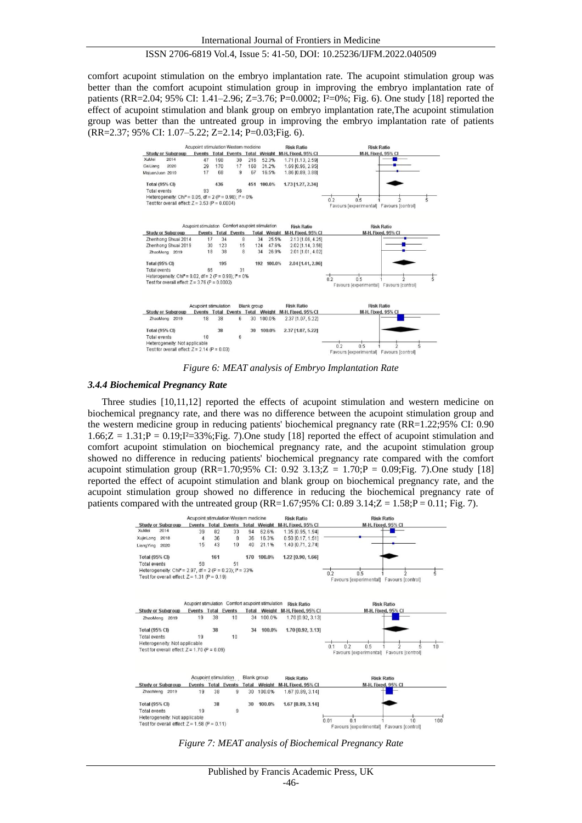comfort acupoint stimulation on the embryo implantation rate. The acupoint stimulation group was better than the comfort acupoint stimulation group in improving the embryo implantation rate of patients (RR=2.04; 95% CI: 1.41–2.96; Z=3.76; P=0.0002; I $\approx 0$ %; Fig. 6). One study [18] reported the effect of acupoint stimulation and blank group on embryo implantation rate,The acupoint stimulation group was better than the untreated group in improving the embryo implantation rate of patients (RR=2.37; 95% CI: 1.07–5.22; Z=2.14; P=0.03;Fig. 6).



*Figure 6: MEAT analysis of Embryo Implantation Rate*

#### *3.4.4 Biochemical Pregnancy Rate*

Three studies [10,11,12] reported the effects of acupoint stimulation and western medicine on biochemical pregnancy rate, and there was no difference between the acupoint stimulation group and the western medicine group in reducing patients' biochemical pregnancy rate (RR=1.22;95% CI: 0.90  $1.66$ : $Z = 1.31$ ; $P = 0.19$ ; $I = 33$ %;Fig. 7). One study [18] reported the effect of acupoint stimulation and comfort acupoint stimulation on biochemical pregnancy rate, and the acupoint stimulation group showed no difference in reducing patients' biochemical pregnancy rate compared with the comfort acupoint stimulation group (RR=1.70;95% CI: 0.92 3.13;Z = 1.70;P = 0.09;Fig. 7).One study [18] reported the effect of acupoint stimulation and blank group on biochemical pregnancy rate, and the acupoint stimulation group showed no difference in reducing the biochemical pregnancy rate of patients compared with the untreated group (RR=1.67;95% CI: 0.89 3.14; $Z = 1.58; P = 0.11; Fig. 7$ ).



*Figure 7: MEAT analysis of Biochemical Pregnancy Rate*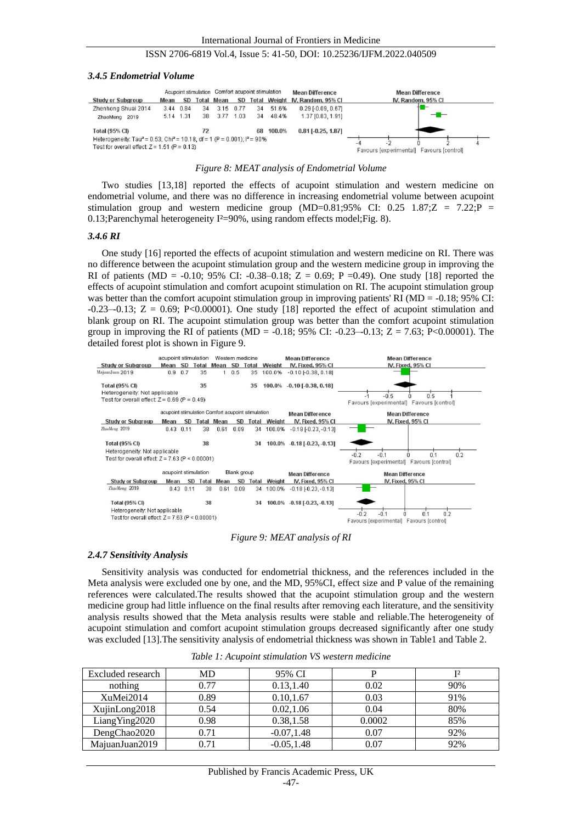#### *3.4.5 Endometrial Volume*

|                                                                                                                                                    |           |           | Acupoint stimulation Comfort acupoint stimulation |            |      |    | <b>Mean Difference</b> | <b>Mean Difference</b>          |                                          |  |                    |  |
|----------------------------------------------------------------------------------------------------------------------------------------------------|-----------|-----------|---------------------------------------------------|------------|------|----|------------------------|---------------------------------|------------------------------------------|--|--------------------|--|
| <b>Study or Subgroup</b>                                                                                                                           | Mean      | SD.       |                                                   | Total Mean | SD.  |    |                        | Total Weight IV, Random, 95% CI |                                          |  | IV, Random, 95% CI |  |
| Zhenhong Shuai 2014                                                                                                                                |           | 3.44 0.84 | 34                                                | 3.15       | 0.77 | 34 | 51.6%                  | $0.29$ $F0.09$ , $0.671$        |                                          |  |                    |  |
| ZhaoMeng 2019                                                                                                                                      | 5.14 1.31 |           |                                                   | 38 3.77    | 1.03 | 34 | 48.4%                  | 1.37 [0.83, 1.91]               |                                          |  |                    |  |
| <b>Total (95% CI)</b>                                                                                                                              |           |           | 72                                                |            |      |    | 68 100.0%              | $0.81$ [ $-0.25$ , 1.87]        |                                          |  |                    |  |
| Heterogeneity: Tau <sup>2</sup> = 0.53; Chi <sup>2</sup> = 10.18, df = 1 (P = 0.001); $P = 90\%$<br>Test for overall effect: $Z = 1.51$ (P = 0.13) |           |           |                                                   |            |      |    |                        |                                 | Favours [experimental] Favours [control] |  |                    |  |

#### *Figure 8: MEAT analysis of Endometrial Volume*

Two studies [13,18] reported the effects of acupoint stimulation and western medicine on endometrial volume, and there was no difference in increasing endometrial volume between acupoint stimulation group and western medicine group (MD=0.81;95% CI: 0.25 1.87; $Z = 7.22$ ; $P =$ 0.13; Parenchymal heterogeneity I  $\text{\textless}=90\%$ , using random effects model; Fig. 8).

#### *3.4.6 RI*

One study [16] reported the effects of acupoint stimulation and western medicine on RI. There was no difference between the acupoint stimulation group and the western medicine group in improving the RI of patients (MD = -0.10; 95% CI: -0.38–0.18;  $Z = 0.69$ ; P =0.49). One study [18] reported the effects of acupoint stimulation and comfort acupoint stimulation on RI. The acupoint stimulation group was better than the comfort acupoint stimulation group in improving patients' RI (MD = -0.18; 95% CI:  $-0.23-0.13$ ;  $Z = 0.69$ ; P<0.00001). One study [18] reported the effect of acupoint stimulation and blank group on RI. The acupoint stimulation group was better than the comfort acupoint stimulation group in improving the RI of patients (MD = -0.18; 95% CI: -0.23–-0.13; Z = 7.63; P<0.00001). The detailed forest plot is shown in Figure 9.



#### *Figure 9: MEAT analysis of RI*

#### *2.4.7 Sensitivity Analysis*

Sensitivity analysis was conducted for endometrial thickness, and the references included in the Meta analysis were excluded one by one, and the MD, 95%CI, effect size and P value of the remaining references were calculated.The results showed that the acupoint stimulation group and the western medicine group had little influence on the final results after removing each literature, and the sensitivity analysis results showed that the Meta analysis results were stable and reliable.The heterogeneity of acupoint stimulation and comfort acupoint stimulation groups decreased significantly after one study was excluded [13]. The sensitivity analysis of endometrial thickness was shown in Table1 and Table 2.

| Excluded research | MD   | 95% CI        |        | T 2 |
|-------------------|------|---------------|--------|-----|
| nothing           | 0.77 | 0.13,1.40     | 0.02   | 90% |
| XuMei2014         | 0.89 | 0.10, 1.67    | 0.03   | 91% |
| XujinLong2018     | 0.54 | 0.02, 1.06    | 0.04   | 80% |
| LiangYing2020     | 0.98 | 0.38,1.58     | 0.0002 | 85% |
| DengChao2020      | 0.71 | $-0.07, 1.48$ | 0.07   | 92% |
| MajuanJuan2019    | 0.71 | $-0.05.1.48$  | 0.07   | 92% |

*Table 1: Acupoint stimulation VS western medicine*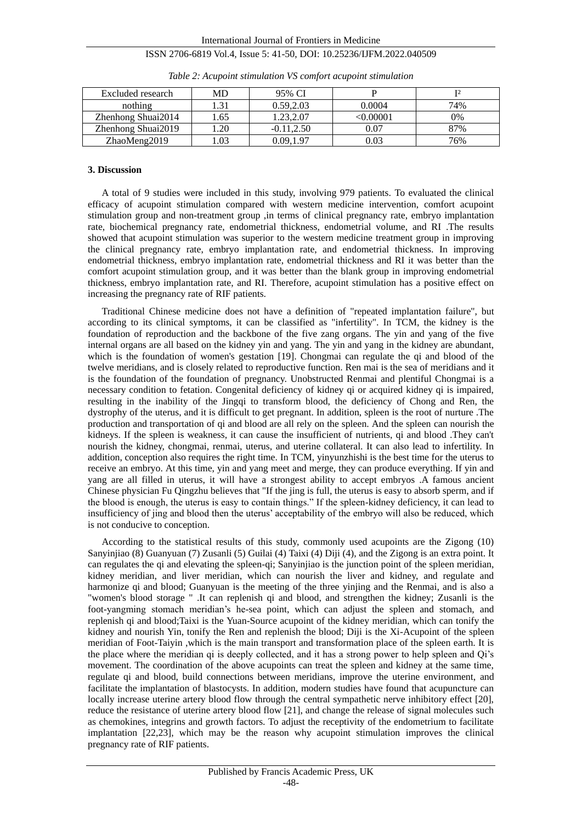International Journal of Frontiers in Medicine

# ISSN 2706-6819 Vol.4, Issue 5: 41-50, DOI: 10.25236/IJFM.2022.040509

| Excluded research  | MD<br>95% CI |               |          | r 2 |
|--------------------|--------------|---------------|----------|-----|
| nothing            | $-21$        | 0.59.2.03     | 0.0004   | 74% |
| Zhenhong Shuai2014 | .65          | .23.2.07      | <0.00001 | 0%  |
| Zhenhong Shuai2019 | .20          | $-0.11, 2.50$ | 0.07     | 87% |
| ZhaoMeng2019       | .03          | 0.09.1.97     | 0.03     | 76% |

|  | Table 2: Acupoint stimulation VS comfort acupoint stimulation |
|--|---------------------------------------------------------------|
|  |                                                               |

# **3. Discussion**

A total of 9 studies were included in this study, involving 979 patients. To evaluated the clinical efficacy of acupoint stimulation compared with western medicine intervention, comfort acupoint stimulation group and non-treatment group ,in terms of clinical pregnancy rate, embryo implantation rate, biochemical pregnancy rate, endometrial thickness, endometrial volume, and RI .The results showed that acupoint stimulation was superior to the western medicine treatment group in improving the clinical pregnancy rate, embryo implantation rate, and endometrial thickness. In improving endometrial thickness, embryo implantation rate, endometrial thickness and RI it was better than the comfort acupoint stimulation group, and it was better than the blank group in improving endometrial thickness, embryo implantation rate, and RI. Therefore, acupoint stimulation has a positive effect on increasing the pregnancy rate of RIF patients.

Traditional Chinese medicine does not have a definition of "repeated implantation failure", but according to its clinical symptoms, it can be classified as "infertility". In TCM, the kidney is the foundation of reproduction and the backbone of the five zang organs. The yin and yang of the five internal organs are all based on the kidney yin and yang. The yin and yang in the kidney are abundant, which is the foundation of women's gestation [19]. Chongmai can regulate the qi and blood of the twelve meridians, and is closely related to reproductive function. Ren mai is the sea of meridians and it is the foundation of the foundation of pregnancy. Unobstructed Renmai and plentiful Chongmai is a necessary condition to fetation. Congenital deficiency of kidney qi or acquired kidney qi is impaired, resulting in the inability of the Jingqi to transform blood, the deficiency of Chong and Ren, the dystrophy of the uterus, and it is difficult to get pregnant. In addition, spleen is the root of nurture .The production and transportation of qi and blood are all rely on the spleen. And the spleen can nourish the kidneys. If the spleen is weakness, it can cause the insufficient of nutrients, qi and blood .They can't nourish the kidney, chongmai, renmai, uterus, and uterine collateral. It can also lead to infertility. In addition, conception also requires the right time. In TCM, yinyunzhishi is the best time for the uterus to receive an embryo. At this time, yin and yang meet and merge, they can produce everything. If yin and yang are all filled in uterus, it will have a strongest ability to accept embryos .A famous ancient Chinese physician Fu Qingzhu believes that "If the jing is full, the uterus is easy to absorb sperm, and if the blood is enough, the uterus is easy to contain things." If the spleen-kidney deficiency, it can lead to insufficiency of jing and blood then the uterus' acceptability of the embryo will also be reduced, which is not conducive to conception.

According to the statistical results of this study, commonly used acupoints are the Zigong (10) Sanyinjiao (8) Guanyuan (7) Zusanli (5) Guilai (4) Taixi (4) Diji (4), and the Zigong is an extra point. It can regulates the qi and [elevating](file:///C:/Users/kkg~/AppData/Local/youdao/dict/Application/8.9.9.0/resultui/html/index.html#/javascript:;) [the](file:///C:/Users/kkg~/AppData/Local/youdao/dict/Application/8.9.9.0/resultui/html/index.html#/javascript:;) [spleen-qi;](file:///C:/Users/kkg~/AppData/Local/youdao/dict/Application/8.9.9.0/resultui/html/index.html#/javascript:;) Sanyinjiao is the junction point of the spleen meridian, kidney meridian, and liver meridian, which can nourish the liver and kidney, and regulate and harmonize qi and blood; Guanyuan is the meeting of the three yinjing and the Renmai, and is also a "women's blood storage " .It can replenish qi and blood, and strengthen the kidney; Zusanli is the foot-yangming stomach meridian's he-sea point, which can adjust the spleen and stomach, and replenish qi and blood;Taixi is the Yuan-Source acupoint of the kidney meridian, which can tonify the kidney and nourish Yin, tonify the Ren and replenish the blood; Diji is the Xi-Acupoint of the spleen meridian of Foot-Taiyin ,which is the main transport and transformation place of the spleen earth. It is the place where the meridian qi is deeply collected, and it has a strong power to help spleen and Qi's movement. The coordination of the above acupoints can treat the spleen and kidney at the same time, regulate qi and blood, build connections between meridians, improve the uterine environment, and facilitate the implantation of blastocysts. In addition, modern studies have found that acupuncture can locally increase uterine artery blood flow through the central sympathetic nerve inhibitory effect [20], reduce the resistance of uterine artery blood flow [21], and change the release of signal molecules such as chemokines, integrins and growth factors. To adjust the receptivity of the endometrium to facilitate implantation [22,23], which may be the reason why acupoint stimulation improves the clinical pregnancy rate of RIF patients.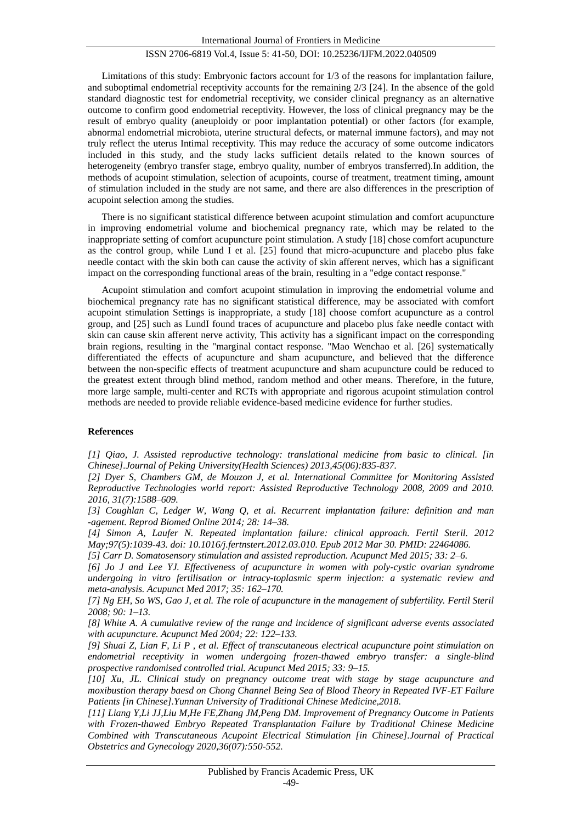Limitations of this study: Embryonic factors account for 1/3 of the reasons for implantation failure, and suboptimal endometrial receptivity accounts for the remaining 2/3 [24]. In the absence of the gold standard diagnostic test for endometrial receptivity, we consider clinical pregnancy as an alternative outcome to confirm good endometrial receptivity. However, the loss of clinical pregnancy may be the result of embryo quality (aneuploidy or poor implantation potential) or other factors (for example, abnormal endometrial microbiota, uterine structural defects, or maternal immune factors), and may not truly reflect the uterus Intimal receptivity. This may reduce the accuracy of some outcome indicators included in this study, and the study lacks sufficient details related to the known sources of heterogeneity (embryo transfer stage, embryo quality, number of embryos transferred).In addition, the methods of acupoint stimulation, selection of acupoints, course of treatment, treatment timing, amount of stimulation included in the study are not same, and there are also differences in the prescription of acupoint selection among the studies.

There is no significant statistical difference between acupoint stimulation and comfort acupuncture in improving endometrial volume and biochemical pregnancy rate, which may be related to the inappropriate setting of comfort acupuncture point stimulation. A study [18] chose comfort acupuncture as the control group, while Lund I et al. [25] found that micro-acupuncture and placebo plus fake needle contact with the skin both can cause the activity of skin afferent nerves, which has a significant impact on the corresponding functional areas of the brain, resulting in a "edge contact response."

Acupoint stimulation and comfort acupoint stimulation in improving the endometrial volume and biochemical pregnancy rate has no significant statistical difference, may be associated with comfort acupoint stimulation Settings is inappropriate, a study [18] choose comfort acupuncture as a control group, and [25] such as LundI found traces of acupuncture and placebo plus fake needle contact with skin can cause skin afferent nerve activity, This activity has a significant impact on the corresponding brain regions, resulting in the "marginal contact response. "Mao Wenchao et al. [26] systematically differentiated the effects of acupuncture and sham acupuncture, and believed that the difference between the non-specific effects of treatment acupuncture and sham acupuncture could be reduced to the greatest extent through blind method, random method and other means. Therefore, in the future, more large sample, multi-center and RCTs with appropriate and rigorous acupoint stimulation control methods are needed to provide reliable evidence-based medicine evidence for further studies.

# **References**

*[1] Qiao, J. Assisted reproductive technology: translational medicine from basic to clinical. [in Chinese].Journal of Peking University(Health Sciences) 2013,45(06):835-837.*

*[2] Dyer S, Chambers GM, de Mouzon J, et al. International Committee for Monitoring Assisted Reproductive Technologies world report: Assisted Reproductive Technology 2008, 2009 and 2010. 2016, 31(7):1588–609.*

*[3] Coughlan C, Ledger W, Wang Q, et al. Recurrent implantation failure: definition and man -agement. Reprod Biomed Online 2014; 28: 14–38.*

*[4] Simon A, Laufer N. Repeated implantation failure: clinical approach. Fertil Steril. 2012 May;97(5):1039-43. doi: 10.1016/j.fertnstert.2012.03.010. Epub 2012 Mar 30. PMID: 22464086.*

*[5] Carr D. Somatosensory stimulation and assisted reproduction. Acupunct Med 2015; 33: 2–6.* 

*[6] Jo J and Lee YJ. Effectiveness of acupuncture in women with poly-cystic ovarian syndrome undergoing in vitro fertilisation or intracy-toplasmic sperm injection: a systematic review and meta-analysis. Acupunct Med 2017; 35: 162–170.*

*[7] Ng EH, So WS, Gao J, et al. The role of acupuncture in the management of subfertility. Fertil Steril 2008; 90: 1–13.*

*[8] White A. A cumulative review of the range and incidence of significant adverse events associated with acupuncture. Acupunct Med 2004; 22: 122–133.*

*[9] Shuai Z, Lian F, Li P , et al. Effect of transcutaneous electrical acupuncture point stimulation on endometrial receptivity in women undergoing frozen-thawed embryo transfer: a single-blind prospective randomised controlled trial. Acupunct Med 2015; 33: 9–15.*

*[10] Xu, JL. Clinical study on pregnancy outcome treat with stage by stage acupuncture and moxibustion therapy baesd on Chong Channel Being Sea of Blood Theory in Repeated IVF-ET Failure Patients [in Chinese].Yunnan University of Traditional Chinese Medicine,2018.*

*[11] Liang Y,Li JJ,Liu M,He FE,Zhang JM,Peng DM. Improvement of Pregnancy Outcome in Patients with Frozen-thawed Embryo Repeated Transplantation Failure by Traditional Chinese Medicine Combined with Transcutaneous Acupoint Electrical Stimulation [in Chinese].Journal of Practical Obstetrics and Gynecology 2020,36(07):550-552.*